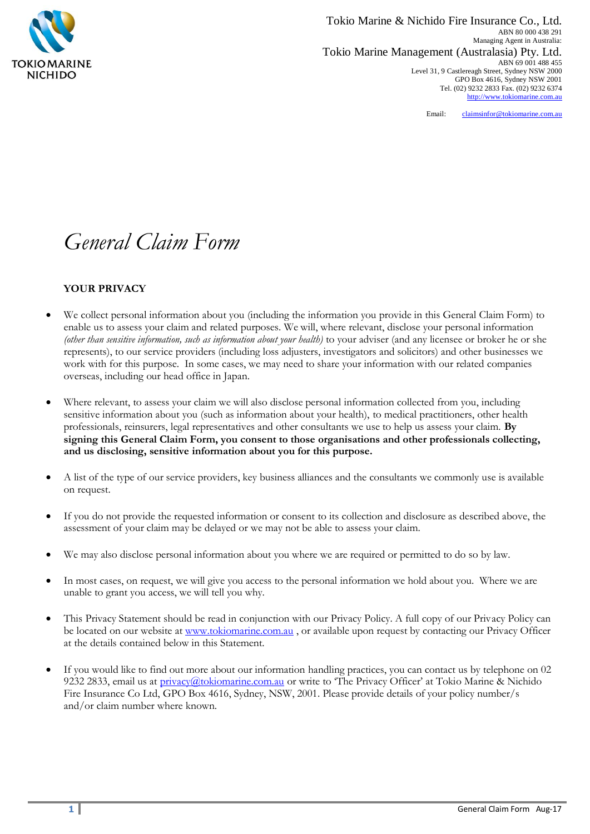

Tokio Marine & Nichido Fire Insurance Co., Ltd. ABN 80 000 438 291 Managing Agent in Australia: Tokio Marine Management (Australasia) Pty. Ltd. ABN 69 001 488 455 Level 31, 9 Castlereagh Street, Sydney NSW 2000 GPO Box 4616, Sydney NSW 2001 Tel. (02) 9232 2833 Fax. (02) 9232 6374 [http://www.tokiomarine.com.au](http://www.tokiomarine.com.au/)

Email: [claimsinfor@tokiomarine.com.au](mailto:claimsinfor@tokiomarine.com.au)

# *General Claim Form*

## **YOUR PRIVACY**

- We collect personal information about you (including the information you provide in this General Claim Form) to enable us to assess your claim and related purposes. We will, where relevant, disclose your personal information *(other than sensitive information, such as information about your health)* to your adviser (and any licensee or broker he or she represents), to our service providers (including loss adjusters, investigators and solicitors) and other businesses we work with for this purpose. In some cases, we may need to share your information with our related companies overseas, including our head office in Japan.
- Where relevant, to assess your claim we will also disclose personal information collected from you, including sensitive information about you (such as information about your health), to medical practitioners, other health professionals, reinsurers, legal representatives and other consultants we use to help us assess your claim. **By signing this General Claim Form, you consent to those organisations and other professionals collecting, and us disclosing, sensitive information about you for this purpose.**
- A list of the type of our service providers, key business alliances and the consultants we commonly use is available on request.
- If you do not provide the requested information or consent to its collection and disclosure as described above, the assessment of your claim may be delayed or we may not be able to assess your claim.
- We may also disclose personal information about you where we are required or permitted to do so by law.
- In most cases, on request, we will give you access to the personal information we hold about you. Where we are unable to grant you access, we will tell you why.
- This Privacy Statement should be read in conjunction with our Privacy Policy. A full copy of our Privacy Policy can be located on our website at [www.tokiomarine.com.au](http://www.tokiomarine.com.au/) , or available upon request by contacting our Privacy Officer at the details contained below in this Statement.
- If you would like to find out more about our information handling practices, you can contact us by telephone on 02 9232 2833, email us at [privacy@tokiomarine.com.au](mailto:privacy@tokiomarine.com.au) or write to 'The Privacy Officer' at Tokio Marine & Nichido Fire Insurance Co Ltd, GPO Box 4616, Sydney, NSW, 2001. Please provide details of your policy number/s and/or claim number where known.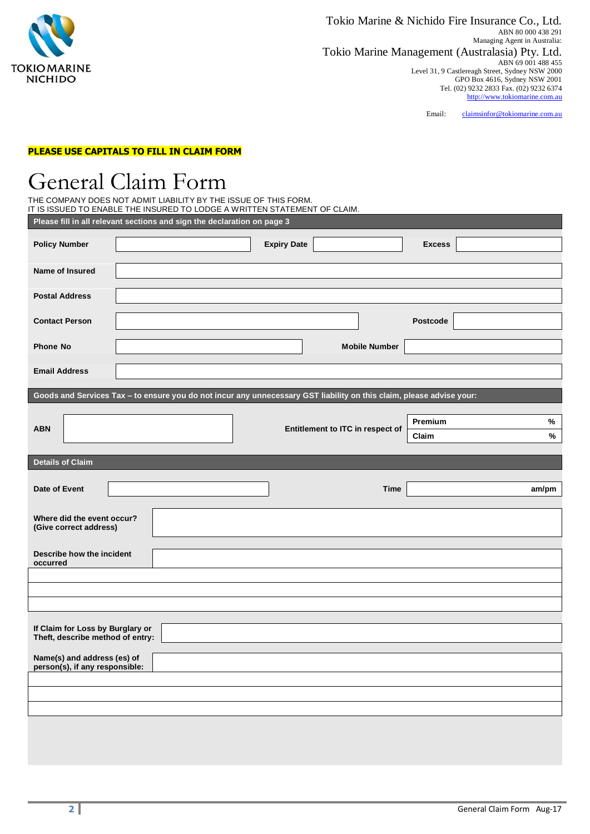

Email: [claimsinfor@tokiomarine.com.au](mailto:claimsinfor@tokiomarine.com.au)

### **PLEASE USE CAPITALS TO FILL IN CLAIM FORM**

# General Claim Form

| THE COMPANY DOES NOT ADMIT LIABILITY BY THE ISSUE OF THIS FORM.           |
|---------------------------------------------------------------------------|
| IT IS ISSUED TO ENABLE THE INSURED TO LODGE A WRITTEN STATEMENT OF CLAIM. |
| Please fill in all relevant sections and sign the declaration on page 3   |

| <b>Policy Number</b>                                                                                                 |  |  |  | <b>Expiry Date</b>               |                      | <b>Excess</b> |        |
|----------------------------------------------------------------------------------------------------------------------|--|--|--|----------------------------------|----------------------|---------------|--------|
| Name of Insured                                                                                                      |  |  |  |                                  |                      |               |        |
| <b>Postal Address</b>                                                                                                |  |  |  |                                  |                      |               |        |
| <b>Contact Person</b>                                                                                                |  |  |  |                                  |                      | Postcode      |        |
| <b>Phone No</b>                                                                                                      |  |  |  |                                  | <b>Mobile Number</b> |               |        |
| <b>Email Address</b>                                                                                                 |  |  |  |                                  |                      |               |        |
| Goods and Services Tax - to ensure you do not incur any unnecessary GST liability on this claim, please advise your: |  |  |  |                                  |                      |               |        |
|                                                                                                                      |  |  |  |                                  |                      | Premium       |        |
| <b>ABN</b>                                                                                                           |  |  |  | Entitlement to ITC in respect of |                      |               | %<br>% |
|                                                                                                                      |  |  |  |                                  |                      | Claim         |        |
| <b>Details of Claim</b>                                                                                              |  |  |  |                                  |                      |               |        |
| <b>Date of Event</b>                                                                                                 |  |  |  |                                  | <b>Time</b>          |               | am/pm  |
|                                                                                                                      |  |  |  |                                  |                      |               |        |
| Where did the event occur?<br>(Give correct address)                                                                 |  |  |  |                                  |                      |               |        |
| Describe how the incident                                                                                            |  |  |  |                                  |                      |               |        |
| occurred                                                                                                             |  |  |  |                                  |                      |               |        |
|                                                                                                                      |  |  |  |                                  |                      |               |        |
|                                                                                                                      |  |  |  |                                  |                      |               |        |
|                                                                                                                      |  |  |  |                                  |                      |               |        |
| If Claim for Loss by Burglary or<br>Theft, describe method of entry:                                                 |  |  |  |                                  |                      |               |        |
| Name(s) and address (es) of                                                                                          |  |  |  |                                  |                      |               |        |
| person(s), if any responsible:                                                                                       |  |  |  |                                  |                      |               |        |
|                                                                                                                      |  |  |  |                                  |                      |               |        |
|                                                                                                                      |  |  |  |                                  |                      |               |        |
|                                                                                                                      |  |  |  |                                  |                      |               |        |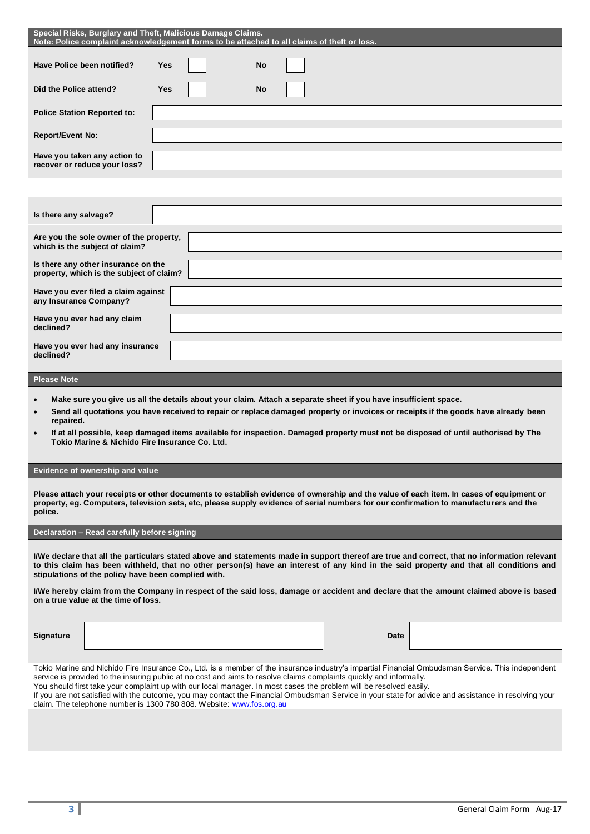| Special Risks, Burglary and Theft, Malicious Damage Claims.<br>Note: Police complaint acknowledgement forms to be attached to all claims of theft or loss. |
|------------------------------------------------------------------------------------------------------------------------------------------------------------|
| <b>Yes</b><br><b>No</b>                                                                                                                                    |
| <b>Yes</b><br><b>No</b>                                                                                                                                    |
|                                                                                                                                                            |
|                                                                                                                                                            |
|                                                                                                                                                            |
|                                                                                                                                                            |
|                                                                                                                                                            |
|                                                                                                                                                            |
| Are you the sole owner of the property,                                                                                                                    |
|                                                                                                                                                            |
| Is there any other insurance on the<br>property, which is the subject of claim?                                                                            |
| Have you ever filed a claim against                                                                                                                        |
|                                                                                                                                                            |
|                                                                                                                                                            |

#### **Please Note**

- **Make sure you give us all the details about your claim. Attach a separate sheet if you have insufficient space.**
- **Send all quotations you have received to repair or replace damaged property or invoices or receipts if the goods have already been repaired.**
- **If at all possible, keep damaged items available for inspection. Damaged property must not be disposed of until authorised by The Tokio Marine & Nichido Fire Insurance Co. Ltd.**

### **Evidence of ownership and value**

**Please attach your receipts or other documents to establish evidence of ownership and the value of each item. In cases of equipment or property, eg. Computers, television sets, etc, please supply evidence of serial numbers for our confirmation to manufacturers and the police.** 

#### **Declaration – Read carefully before signing**

**I/We declare that all the particulars stated above and statements made in support thereof are true and correct, that no information relevant to this claim has been withheld, that no other person(s) have an interest of any kind in the said property and that all conditions and stipulations of the policy have been complied with.**

**I/We hereby claim from the Company in respect of the said loss, damage or accident and declare that the amount claimed above is based on a true value at the time of loss.**

**Signature Date**

Tokio Marine and Nichido Fire Insurance Co., Ltd. is a member of the insurance industry's impartial Financial Ombudsman Service. This independent service is provided to the insuring public at no cost and aims to resolve claims complaints quickly and informally. You should first take your complaint up with our local manager. In most cases the problem will be resolved easily. If you are not satisfied with the outcome, you may contact the Financial Ombudsman Service in your state for advice and assistance in resolving your claim. The telephone number is 1300 780 808. Website: [www.fos.org.au](http://www.fos.org.au/)